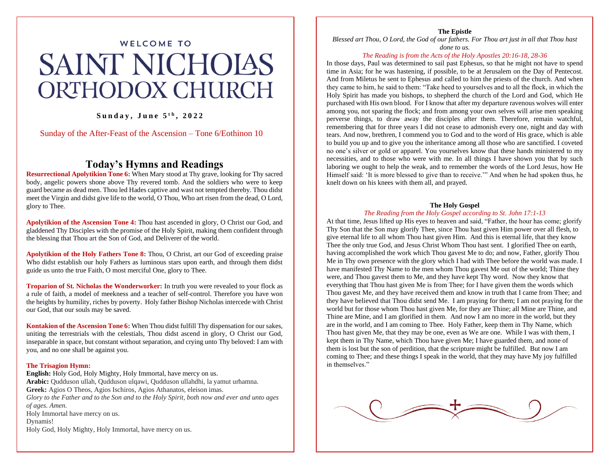# WELCOME TO **SAINT NICHOIAS ORTHODOX CHURCH**

## **S u n d a y , J u n e 5 t h , 2 0 2 2**

Sunday of the After-Feast of the Ascension – Tone 6/Eothinon 10

# **Today's Hymns and Readings**

**Resurrectional Apolytikion Tone 6:** When Mary stood at Thy grave, looking for Thy sacred body, angelic powers shone above Thy revered tomb. And the soldiers who were to keep guard became as dead men. Thou led Hades captive and wast not tempted thereby. Thou didst meet the Virgin and didst give life to the world, O Thou, Who art risen from the dead, O Lord, glory to Thee.

**Apolytikion of the Ascension Tone 4:** Thou hast ascended in glory, O Christ our God, and gladdened Thy Disciples with the promise of the Holy Spirit, making them confident through the blessing that Thou art the Son of God, and Deliverer of the world.

**Apolytikion of the Holy Fathers Tone 8:** Thou, O Christ, art our God of exceeding praise Who didst establish our holy Fathers as luminous stars upon earth, and through them didst guide us unto the true Faith, O most merciful One, glory to Thee.

**Troparion of St. Nicholas the Wonderworker:** In truth you were revealed to your flock as a rule of faith, a model of meekness and a teacher of self-control. Therefore you have won the heights by humility, riches by poverty. Holy father Bishop Nicholas intercede with Christ our God, that our souls may be saved.

**Kontakion of the Ascension Tone 6:** When Thou didst fulfill Thy dispensation for our sakes, uniting the terrestrials with the celestials, Thou didst ascend in glory, O Christ our God, inseparable in space, but constant without separation, and crying unto Thy beloved: I am with you, and no one shall be against you.

#### **The Trisagion Hymn:**

**English:** Holy God, Holy Mighty, Holy Immortal, have mercy on us. **Arabic:** Qudduson ullah, Qudduson ulqawi, Qudduson ullahdhi, la yamut urhamna. **Greek:** Agios O Theos, Agios Ischiros, Agios Athanatos, eleison imas. *Glory to the Father and to the Son and to the Holy Spirit, both now and ever and unto ages of ages. Amen.* Holy Immortal have mercy on us. Dynamis! Holy God, Holy Mighty, Holy Immortal, have mercy on us.

**The Epistle**

*Blessed art Thou, O Lord, the God of our fathers. For Thou art just in all that Thou hast done to us.*

#### *The Reading is from the Acts of the Holy Apostles 20:16-18, 28-36*

In those days, Paul was determined to sail past Ephesus, so that he might not have to spend time in Asia; for he was hastening, if possible, to be at Jerusalem on the Day of Pentecost. And from Miletus he sent to Ephesus and called to him the priests of the church. And when they came to him, he said to them: "Take heed to yourselves and to all the flock, in which the Holy Spirit has made you bishops, to shepherd the church of the Lord and God, which He purchased with His own blood. For I know that after my departure ravenous wolves will enter among you, not sparing the flock; and from among your own selves will arise men speaking perverse things, to draw away the disciples after them. Therefore, remain watchful, remembering that for three years I did not cease to admonish every one, night and day with tears. And now, brethren, I commend you to God and to the word of His grace, which is able to build you up and to give you the inheritance among all those who are sanctified. I coveted no one's silver or gold or apparel. You yourselves know that these hands ministered to my necessities, and to those who were with me. In all things I have shown you that by such laboring we ought to help the weak, and to remember the words of the Lord Jesus, how He Himself said: 'It is more blessed to give than to receive.'" And when he had spoken thus, he knelt down on his knees with them all, and prayed.

#### **The Holy Gospel**

#### *The Reading from the Holy Gospel according to St. John 17:1-13*

At that time, Jesus lifted up His eyes to heaven and said, "Father, the hour has come; glorify Thy Son that the Son may glorify Thee, since Thou hast given Him power over all flesh, to give eternal life to all whom Thou hast given Him. And this is eternal life, that they know Thee the only true God, and Jesus Christ Whom Thou hast sent. I glorified Thee on earth, having accomplished the work which Thou gavest Me to do; and now, Father, glorify Thou Me in Thy own presence with the glory which I had with Thee before the world was made. I have manifested Thy Name to the men whom Thou gavest Me out of the world; Thine they were, and Thou gavest them to Me, and they have kept Thy word. Now they know that everything that Thou hast given Me is from Thee; for I have given them the words which Thou gavest Me, and they have received them and know in truth that I came from Thee; and they have believed that Thou didst send Me. I am praying for them; I am not praying for the world but for those whom Thou hast given Me, for they are Thine; all Mine are Thine, and Thine are Mine, and I am glorified in them. And now I am no more in the world, but they are in the world, and I am coming to Thee. Holy Father, keep them in Thy Name, which Thou hast given Me, that they may be one, even as We are one. While I was with them, I kept them in Thy Name, which Thou have given Me; I have guarded them, and none of them is lost but the son of perdition, that the scripture might be fulfilled. But now I am coming to Thee; and these things I speak in the world, that they may have My joy fulfilled in themselves."